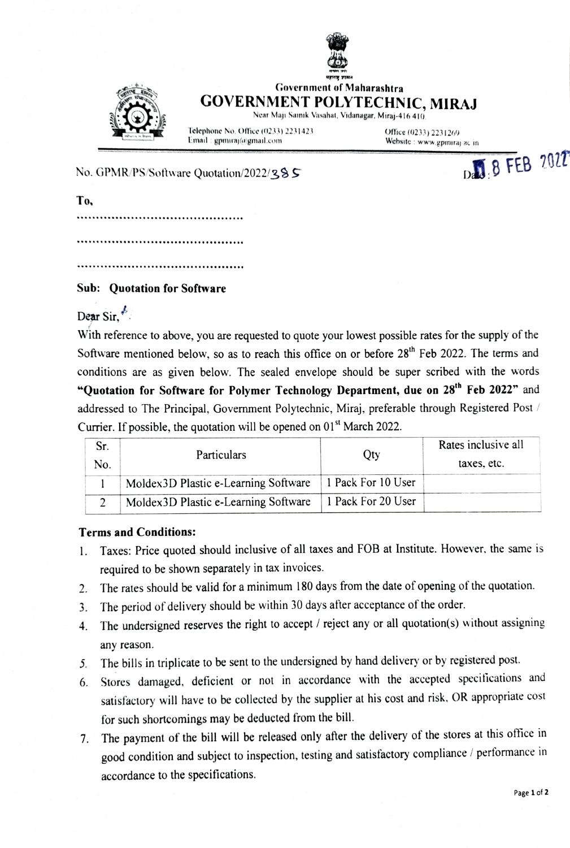



## Government of Maharashtra GOVERNMENT POLYTECHNIC, MIRAJ

Near Maji Sainik Vasahat, Vidanagar, Miraj-416 410

Telephone No. Oflice (0233) 2231423 Email : gpmiraj@gmail.com

Office (0233) 2231269 Website: www.gpmiraj.ac.in D. 8 FEB 2022

No. GPMR/PS/Software Quotation/2022/385

To,

## Sub: Quotation for Software

Dear Sir,

With reference to above, you are requested to quote your lowest possible rates for the supply of the Software mentioned below, so as to reach this office on or before  $28<sup>th</sup>$  Feb 2022. The terms and conditions are as given below. The sealed envelope should be super seribed with the words "Quotation for Software for Polymer Technology Department, due on 28<sup>th</sup> Feb 2022" and addressed to The Principal, Government Polytechnic, Miraj, preferable through Registered Post / Currier. If possible, the quotation will be opened on  $01<sup>st</sup>$  March 2022.

| No. | <b>Particulars</b>                    | Oty                | Rates inclusive all<br>taxes, etc. |
|-----|---------------------------------------|--------------------|------------------------------------|
|     | Moldex 3D Plastic e-Learning Software | 1 Pack For 10 User |                                    |
|     | Moldex3D Plastic e-Learning Software  | 1 Pack For 20 User |                                    |

## Terms and Conditions:

- . Taxes: Price quoted should inclusive of all taxes and FOB at lnstitute. However, the same is required to be shown separately in tax invoices.
- The rates should be valid for a minimum 180 days from the date of opening of the quotation. 2.
- 3. The period of delivery should be within 30 days after acceptance of the order.
- 4. The undersigned reserves the right to accept / reject any or all quotation(s) without assigning any reason.
- 5. The bills in triplicate to be sent to the undersigned by hand delivery or by registered post
- 6. Stores damaged, deficient or not in accordance with the accepted specifications and satisfactory will have to be collected by the supplier at his cost and risk. OR appropriate cost for such shortcomings may be deducted from the bill.
- 7. The payment of the bill will be released only after the delivery of the stores at this office in good condition and subject to inspection, testing and satisfactory compliance/ performance in accordance to the specifications.